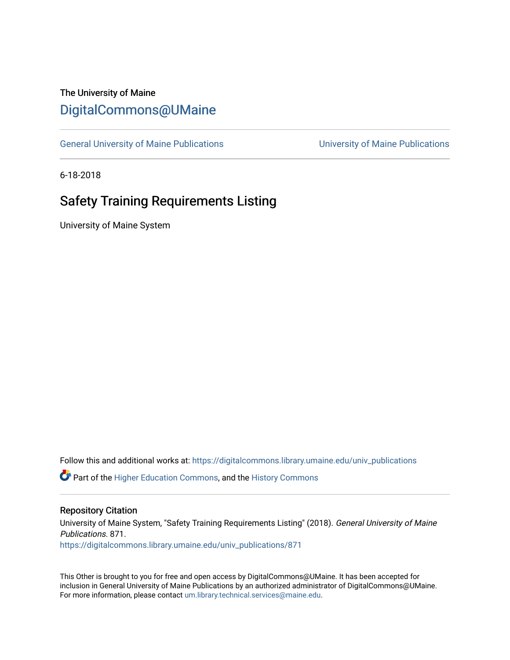## The University of Maine [DigitalCommons@UMaine](https://digitalcommons.library.umaine.edu/)

[General University of Maine Publications](https://digitalcommons.library.umaine.edu/univ_publications) [University of Maine Publications](https://digitalcommons.library.umaine.edu/umaine_publications) 

6-18-2018

# Safety Training Requirements Listing

University of Maine System

Follow this and additional works at: [https://digitalcommons.library.umaine.edu/univ\\_publications](https://digitalcommons.library.umaine.edu/univ_publications?utm_source=digitalcommons.library.umaine.edu%2Funiv_publications%2F871&utm_medium=PDF&utm_campaign=PDFCoverPages) 

**C** Part of the [Higher Education Commons,](http://network.bepress.com/hgg/discipline/1245?utm_source=digitalcommons.library.umaine.edu%2Funiv_publications%2F871&utm_medium=PDF&utm_campaign=PDFCoverPages) and the [History Commons](http://network.bepress.com/hgg/discipline/489?utm_source=digitalcommons.library.umaine.edu%2Funiv_publications%2F871&utm_medium=PDF&utm_campaign=PDFCoverPages)

#### Repository Citation

University of Maine System, "Safety Training Requirements Listing" (2018). General University of Maine Publications. 871. [https://digitalcommons.library.umaine.edu/univ\\_publications/871](https://digitalcommons.library.umaine.edu/univ_publications/871?utm_source=digitalcommons.library.umaine.edu%2Funiv_publications%2F871&utm_medium=PDF&utm_campaign=PDFCoverPages) 

This Other is brought to you for free and open access by DigitalCommons@UMaine. It has been accepted for inclusion in General University of Maine Publications by an authorized administrator of DigitalCommons@UMaine. For more information, please contact [um.library.technical.services@maine.edu](mailto:um.library.technical.services@maine.edu).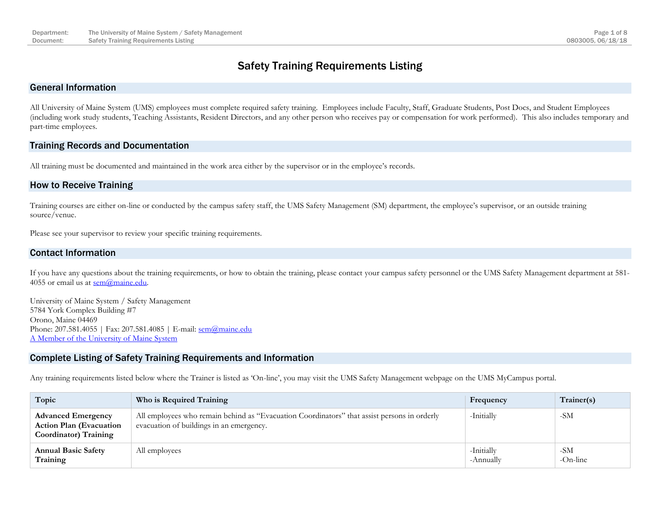### Safety Training Requirements Listing

#### General Information

All University of Maine System (UMS) employees must complete required safety training. Employees include Faculty, Staff, Graduate Students, Post Docs, and Student Employees (including work study students, Teaching Assistants, Resident Directors, and any other person who receives pay or compensation for work performed). This also includes temporary and part-time employees.

#### Training Records and Documentation

All training must be documented and maintained in the work area either by the supervisor or in the employee's records.

#### How to Receive Training

Training courses are either on-line or conducted by the campus safety staff, the UMS Safety Management (SM) department, the employee's supervisor, or an outside training source/venue.

Please see your supervisor to review your specific training requirements.

#### Contact Information

If you have any questions about the training requirements, or how to obtain the training, please contact your campus safety personnel or the UMS Safety Management department at 581- 4055 or email us at  $sem@maine.edu$ .

University of Maine System / Safety Management 5784 York Complex Building #7 Orono, Maine 04469 Phone: 207.581.4055 | Fax: 207.581.4085 | E-mail: sem @maine.edu [A Member of the University of Maine System](https://www.maine.edu/)

#### Complete Listing of Safety Training Requirements and Information

Any training requirements listed below where the Trainer is listed as 'On-line', you may visit the UMS Safety Management webpage on the UMS MyCampus portal.

| Topic                                                                                        | Who is Required Training                                                                                                                | Frequency               | Trainer(s)      |
|----------------------------------------------------------------------------------------------|-----------------------------------------------------------------------------------------------------------------------------------------|-------------------------|-----------------|
| <b>Advanced Emergency</b><br><b>Action Plan (Evacuation</b><br><b>Coordinator</b> ) Training | All employees who remain behind as "Evacuation Coordinators" that assist persons in orderly<br>evacuation of buildings in an emergency. | -Initially              | -SM             |
| <b>Annual Basic Safety</b><br>Training                                                       | All employees                                                                                                                           | -Initially<br>-Annually | -SM<br>-On-line |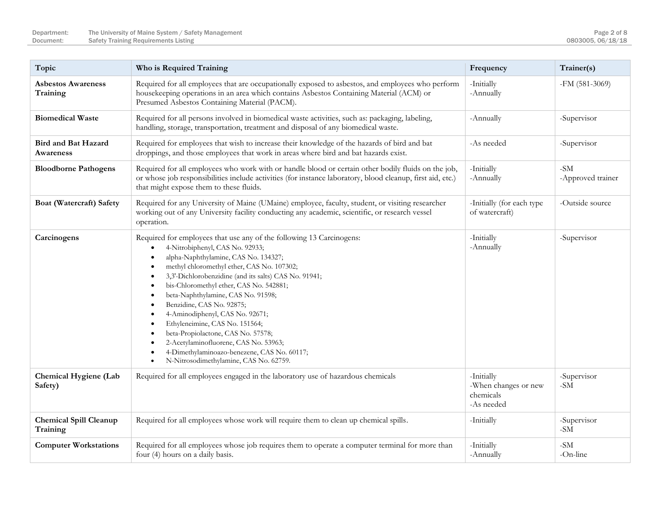| Topic                                     | Who is Required Training                                                                                                                                                                                                                                                                                                                                                                                                                                                                                                                                                                                                                                              | Frequency                                                     | Trainer(s)                 |
|-------------------------------------------|-----------------------------------------------------------------------------------------------------------------------------------------------------------------------------------------------------------------------------------------------------------------------------------------------------------------------------------------------------------------------------------------------------------------------------------------------------------------------------------------------------------------------------------------------------------------------------------------------------------------------------------------------------------------------|---------------------------------------------------------------|----------------------------|
| <b>Asbestos Awareness</b><br>Training     | Required for all employees that are occupationally exposed to asbestos, and employees who perform<br>housekeeping operations in an area which contains Asbestos Containing Material (ACM) or<br>Presumed Asbestos Containing Material (PACM).                                                                                                                                                                                                                                                                                                                                                                                                                         | -Initially<br>-Annually                                       | $-FM(581-3069)$            |
| <b>Biomedical Waste</b>                   | Required for all persons involved in biomedical waste activities, such as: packaging, labeling,<br>handling, storage, transportation, treatment and disposal of any biomedical waste.                                                                                                                                                                                                                                                                                                                                                                                                                                                                                 | -Annually                                                     | -Supervisor                |
| Bird and Bat Hazard<br>Awareness          | Required for employees that wish to increase their knowledge of the hazards of bird and bat<br>droppings, and those employees that work in areas where bird and bat hazards exist.                                                                                                                                                                                                                                                                                                                                                                                                                                                                                    | -As needed                                                    | -Supervisor                |
| <b>Bloodborne Pathogens</b>               | Required for all employees who work with or handle blood or certain other bodily fluids on the job,<br>or whose job responsibilities include activities (for instance laboratory, blood cleanup, first aid, etc.)<br>that might expose them to these fluids.                                                                                                                                                                                                                                                                                                                                                                                                          | -Initially<br>-Annually                                       | $-SM$<br>-Approved trainer |
| Boat (Watercraft) Safety                  | Required for any University of Maine (UMaine) employee, faculty, student, or visiting researcher<br>working out of any University facility conducting any academic, scientific, or research vessel<br>operation.                                                                                                                                                                                                                                                                                                                                                                                                                                                      | -Initially (for each type<br>of watercraft)                   | -Outside source            |
| Carcinogens                               | Required for employees that use any of the following 13 Carcinogens:<br>4-Nitrobiphenyl, CAS No. 92933;<br>alpha-Naphthylamine, CAS No. 134327;<br>methyl chloromethyl ether, CAS No. 107302;<br>$\bullet$<br>3,3'-Dichlorobenzidine (and its salts) CAS No. 91941;<br>bis-Chloromethyl ether, CAS No. 542881;<br>$\bullet$<br>beta-Naphthylamine, CAS No. 91598;<br>Benzidine, CAS No. 92875;<br>$\bullet$<br>4-Aminodiphenyl, CAS No. 92671;<br>Ethyleneimine, CAS No. 151564;<br>beta-Propiolactone, CAS No. 57578;<br>2-Acetylaminofluorene, CAS No. 53963;<br>4-Dimethylaminoazo-benezene, CAS No. 60117;<br>N-Nitrosodimethylamine, CAS No. 62759.<br>$\bullet$ | -Initially<br>-Annually                                       | -Supervisor                |
| Chemical Hygiene (Lab<br>Safety)          | Required for all employees engaged in the laboratory use of hazardous chemicals                                                                                                                                                                                                                                                                                                                                                                                                                                                                                                                                                                                       | -Initially<br>-When changes or new<br>chemicals<br>-As needed | -Supervisor<br>$-SM$       |
| <b>Chemical Spill Cleanup</b><br>Training | Required for all employees whose work will require them to clean up chemical spills.                                                                                                                                                                                                                                                                                                                                                                                                                                                                                                                                                                                  | -Initially                                                    | -Supervisor<br>$-SM$       |
| <b>Computer Workstations</b>              | Required for all employees whose job requires them to operate a computer terminal for more than<br>four (4) hours on a daily basis.                                                                                                                                                                                                                                                                                                                                                                                                                                                                                                                                   | -Initially<br>-Annually                                       | $-SM$<br>-On-line          |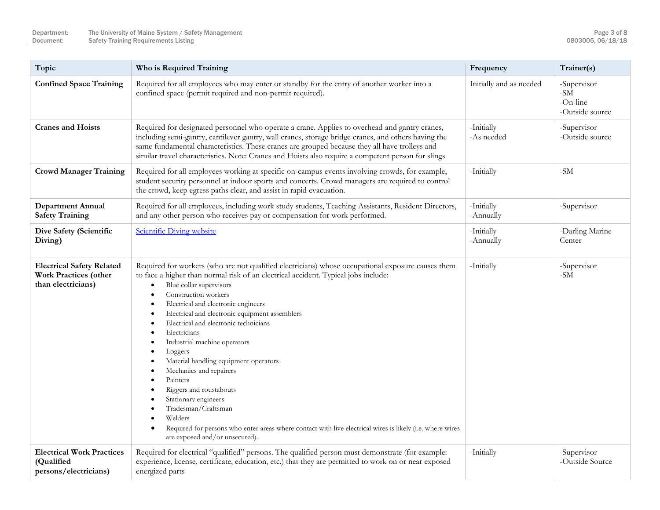| Topic                                                                           | Who is Required Training                                                                                                                                                                                                                                                                                                                                                                                                                                                                                                                                                                                                                                                                                                                                                                                     | Frequency                | Trainer(s)                                                          |
|---------------------------------------------------------------------------------|--------------------------------------------------------------------------------------------------------------------------------------------------------------------------------------------------------------------------------------------------------------------------------------------------------------------------------------------------------------------------------------------------------------------------------------------------------------------------------------------------------------------------------------------------------------------------------------------------------------------------------------------------------------------------------------------------------------------------------------------------------------------------------------------------------------|--------------------------|---------------------------------------------------------------------|
| <b>Confined Space Training</b>                                                  | Required for all employees who may enter or standby for the entry of another worker into a<br>confined space (permit required and non-permit required).                                                                                                                                                                                                                                                                                                                                                                                                                                                                                                                                                                                                                                                      | Initially and as needed  | -Supervisor<br>$\mbox{-}\mathrm{SM}$<br>-On-line<br>-Outside source |
| <b>Cranes and Hoists</b>                                                        | Required for designated personnel who operate a crane. Applies to overhead and gantry cranes,<br>including semi-gantry, cantilever gantry, wall cranes, storage bridge cranes, and others having the<br>same fundamental characteristics. These cranes are grouped because they all have trolleys and<br>similar travel characteristics. Note: Cranes and Hoists also require a competent person for slings                                                                                                                                                                                                                                                                                                                                                                                                  | -Initially<br>-As needed | -Supervisor<br>-Outside source                                      |
| <b>Crowd Manager Training</b>                                                   | Required for all employees working at specific on-campus events involving crowds, for example,<br>student security personnel at indoor sports and concerts. Crowd managers are required to control<br>the crowd, keep egress paths clear, and assist in rapid evacuation.                                                                                                                                                                                                                                                                                                                                                                                                                                                                                                                                    | -Initially               | $-SM$                                                               |
| <b>Department Annual</b><br><b>Safety Training</b>                              | Required for all employees, including work study students, Teaching Assistants, Resident Directors,<br>and any other person who receives pay or compensation for work performed.                                                                                                                                                                                                                                                                                                                                                                                                                                                                                                                                                                                                                             | -Initially<br>-Annually  | -Supervisor                                                         |
| Dive Safety (Scientific<br>Diving)                                              | Scientific Diving website                                                                                                                                                                                                                                                                                                                                                                                                                                                                                                                                                                                                                                                                                                                                                                                    | -Initially<br>-Annually  | -Darling Marine<br>Center                                           |
| <b>Electrical Safety Related</b><br>Work Practices (other<br>than electricians) | Required for workers (who are not qualified electricians) whose occupational exposure causes them<br>to face a higher than normal risk of an electrical accident. Typical jobs include:<br>Blue collar supervisors<br>$\bullet$<br>Construction workers<br>$\bullet$<br>Electrical and electronic engineers<br>$\bullet$<br>Electrical and electronic equipment assemblers<br>٠<br>Electrical and electronic technicians<br>Electricians<br>Industrial machine operators<br>٠<br>Loggers<br>Material handling equipment operators<br>Mechanics and repairers<br>Painters<br>Riggers and roustabouts<br>Stationary engineers<br>Tradesman/Craftsman<br>Welders<br>Required for persons who enter areas where contact with live electrical wires is likely (i.e. where wires<br>are exposed and/or unsecured). | -Initially               | -Supervisor<br>$-SM$                                                |
| <b>Electrical Work Practices</b><br>(Qualified<br>persons/electricians)         | Required for electrical "qualified" persons. The qualified person must demonstrate (for example:<br>experience, license, certificate, education, etc.) that they are permitted to work on or near exposed<br>energized parts                                                                                                                                                                                                                                                                                                                                                                                                                                                                                                                                                                                 | -Initially               | -Supervisor<br>-Outside Source                                      |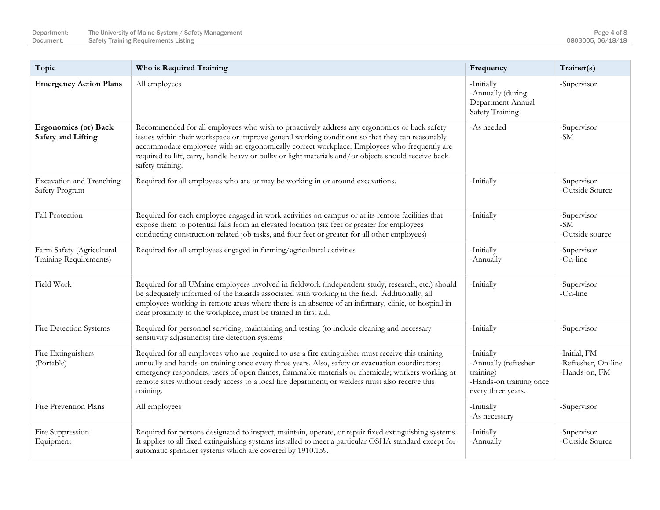| Topic                                                    | Who is Required Training                                                                                                                                                                                                                                                                                                                                                                                                  | Frequency                                                                                        | Trainer(s)                                              |
|----------------------------------------------------------|---------------------------------------------------------------------------------------------------------------------------------------------------------------------------------------------------------------------------------------------------------------------------------------------------------------------------------------------------------------------------------------------------------------------------|--------------------------------------------------------------------------------------------------|---------------------------------------------------------|
| <b>Emergency Action Plans</b>                            | All employees                                                                                                                                                                                                                                                                                                                                                                                                             | -Initially<br>-Annually (during<br>Department Annual<br>Safety Training                          | -Supervisor                                             |
| <b>Ergonomics (or) Back</b><br><b>Safety and Lifting</b> | Recommended for all employees who wish to proactively address any ergonomics or back safety<br>issues within their workspace or improve general working conditions so that they can reasonably<br>accommodate employees with an ergonomically correct workplace. Employees who frequently are<br>required to lift, carry, handle heavy or bulky or light materials and/or objects should receive back<br>safety training. | -As needed                                                                                       | -Supervisor<br>$-SM$                                    |
| Excavation and Trenching<br>Safety Program               | Required for all employees who are or may be working in or around excavations.                                                                                                                                                                                                                                                                                                                                            | -Initially                                                                                       | -Supervisor<br>-Outside Source                          |
| Fall Protection                                          | Required for each employee engaged in work activities on campus or at its remote facilities that<br>expose them to potential falls from an elevated location (six feet or greater for employees<br>conducting construction-related job tasks, and four feet or greater for all other employees)                                                                                                                           | -Initially                                                                                       | -Supervisor<br>$\mbox{-}\mathrm{SM}$<br>-Outside source |
| Farm Safety (Agricultural<br>Training Requirements)      | Required for all employees engaged in farming/agricultural activities                                                                                                                                                                                                                                                                                                                                                     | -Initially<br>-Annually                                                                          | -Supervisor<br>-On-line                                 |
| Field Work                                               | Required for all UMaine employees involved in fieldwork (independent study, research, etc.) should<br>be adequately informed of the hazards associated with working in the field. Additionally, all<br>employees working in remote areas where there is an absence of an infirmary, clinic, or hospital in<br>near proximity to the workplace, must be trained in first aid.                                              | -Initially                                                                                       | -Supervisor<br>-On-line                                 |
| Fire Detection Systems                                   | Required for personnel servicing, maintaining and testing (to include cleaning and necessary<br>sensitivity adjustments) fire detection systems                                                                                                                                                                                                                                                                           | -Initially                                                                                       | -Supervisor                                             |
| Fire Extinguishers<br>(Portable)                         | Required for all employees who are required to use a fire extinguisher must receive this training<br>annually and hands-on training once every three years. Also, safety or evacuation coordinators;<br>emergency responders; users of open flames, flammable materials or chemicals; workers working at<br>remote sites without ready access to a local fire department; or welders must also receive this<br>training.  | -Initially<br>-Annually (refresher<br>training)<br>-Hands-on training once<br>every three years. | -Initial, FM<br>-Refresher, On-line<br>-Hands-on, FM    |
| Fire Prevention Plans                                    | All employees                                                                                                                                                                                                                                                                                                                                                                                                             | -Initially<br>-As necessary                                                                      | -Supervisor                                             |
| Fire Suppression<br>Equipment                            | Required for persons designated to inspect, maintain, operate, or repair fixed extinguishing systems.<br>It applies to all fixed extinguishing systems installed to meet a particular OSHA standard except for<br>automatic sprinkler systems which are covered by 1910.159.                                                                                                                                              | -Initially<br>-Annually                                                                          | -Supervisor<br>-Outside Source                          |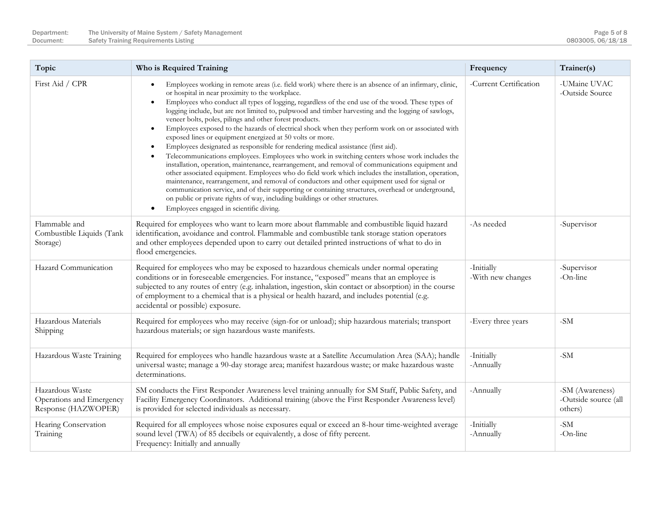| Topic                                                              | Who is Required Training                                                                                                                                                                                                                                                                                                                                                                                                                                                                                                                                                                                                                                                                                                                                                                                                                                                                                                                                                                                                                                                                                                                                                                                                                                                                                                                                                                             | Frequency                       | Trainer(s)                                         |
|--------------------------------------------------------------------|------------------------------------------------------------------------------------------------------------------------------------------------------------------------------------------------------------------------------------------------------------------------------------------------------------------------------------------------------------------------------------------------------------------------------------------------------------------------------------------------------------------------------------------------------------------------------------------------------------------------------------------------------------------------------------------------------------------------------------------------------------------------------------------------------------------------------------------------------------------------------------------------------------------------------------------------------------------------------------------------------------------------------------------------------------------------------------------------------------------------------------------------------------------------------------------------------------------------------------------------------------------------------------------------------------------------------------------------------------------------------------------------------|---------------------------------|----------------------------------------------------|
| First Aid / CPR                                                    | Employees working in remote areas (i.e. field work) where there is an absence of an infirmary, clinic,<br>$\bullet$<br>or hospital in near proximity to the workplace.<br>Employees who conduct all types of logging, regardless of the end use of the wood. These types of<br>$\bullet$<br>logging include, but are not limited to, pulpwood and timber harvesting and the logging of sawlogs,<br>veneer bolts, poles, pilings and other forest products.<br>Employees exposed to the hazards of electrical shock when they perform work on or associated with<br>$\bullet$<br>exposed lines or equipment energized at 50 volts or more.<br>Employees designated as responsible for rendering medical assistance (first aid).<br>Telecommunications employees. Employees who work in switching centers whose work includes the<br>$\bullet$<br>installation, operation, maintenance, rearrangement, and removal of communications equipment and<br>other associated equipment. Employees who do field work which includes the installation, operation,<br>maintenance, rearrangement, and removal of conductors and other equipment used for signal or<br>communication service, and of their supporting or containing structures, overhead or underground,<br>on public or private rights of way, including buildings or other structures.<br>Employees engaged in scientific diving.<br>$\bullet$ | -Current Certification          | -UMaine UVAC<br>-Outside Source                    |
| Flammable and<br>Combustible Liquids (Tank<br>Storage)             | Required for employees who want to learn more about flammable and combustible liquid hazard<br>identification, avoidance and control. Flammable and combustible tank storage station operators<br>and other employees depended upon to carry out detailed printed instructions of what to do in<br>flood emergencies.                                                                                                                                                                                                                                                                                                                                                                                                                                                                                                                                                                                                                                                                                                                                                                                                                                                                                                                                                                                                                                                                                | -As needed                      | -Supervisor                                        |
| Hazard Communication                                               | Required for employees who may be exposed to hazardous chemicals under normal operating<br>conditions or in foreseeable emergencies. For instance, "exposed" means that an employee is<br>subjected to any routes of entry (e.g. inhalation, ingestion, skin contact or absorption) in the course<br>of employment to a chemical that is a physical or health hazard, and includes potential (e.g.<br>accidental or possible) exposure.                                                                                                                                                                                                                                                                                                                                                                                                                                                                                                                                                                                                                                                                                                                                                                                                                                                                                                                                                              | -Initially<br>-With new changes | -Supervisor<br>-On-line                            |
| Hazardous Materials<br>Shipping                                    | Required for employees who may receive (sign-for or unload); ship hazardous materials; transport<br>hazardous materials; or sign hazardous waste manifests.                                                                                                                                                                                                                                                                                                                                                                                                                                                                                                                                                                                                                                                                                                                                                                                                                                                                                                                                                                                                                                                                                                                                                                                                                                          | -Every three years              | $-SM$                                              |
| Hazardous Waste Training                                           | Required for employees who handle hazardous waste at a Satellite Accumulation Area (SAA); handle<br>universal waste; manage a 90-day storage area; manifest hazardous waste; or make hazardous waste<br>determinations.                                                                                                                                                                                                                                                                                                                                                                                                                                                                                                                                                                                                                                                                                                                                                                                                                                                                                                                                                                                                                                                                                                                                                                              | -Initially<br>-Annually         | $-SM$                                              |
| Hazardous Waste<br>Operations and Emergency<br>Response (HAZWOPER) | SM conducts the First Responder Awareness level training annually for SM Staff, Public Safety, and<br>Facility Emergency Coordinators. Additional training (above the First Responder Awareness level)<br>is provided for selected individuals as necessary.                                                                                                                                                                                                                                                                                                                                                                                                                                                                                                                                                                                                                                                                                                                                                                                                                                                                                                                                                                                                                                                                                                                                         | -Annually                       | -SM (Awareness)<br>-Outside source (all<br>others) |
| Hearing Conservation<br>Training                                   | Required for all employees whose noise exposures equal or exceed an 8-hour time-weighted average<br>sound level (TWA) of 85 decibels or equivalently, a dose of fifty percent.<br>Frequency: Initially and annually                                                                                                                                                                                                                                                                                                                                                                                                                                                                                                                                                                                                                                                                                                                                                                                                                                                                                                                                                                                                                                                                                                                                                                                  | -Initially<br>-Annually         | $-SM$<br>-On-line                                  |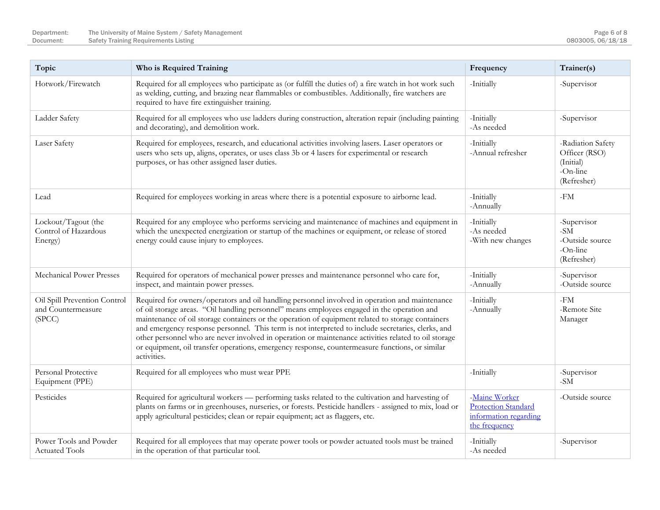| Topic                                                        | Who is Required Training                                                                                                                                                                                                                                                                                                                                                                                                                                                                                                                                                                                                           | Frequency                                                                             | Trainer(s)                                                                 |
|--------------------------------------------------------------|------------------------------------------------------------------------------------------------------------------------------------------------------------------------------------------------------------------------------------------------------------------------------------------------------------------------------------------------------------------------------------------------------------------------------------------------------------------------------------------------------------------------------------------------------------------------------------------------------------------------------------|---------------------------------------------------------------------------------------|----------------------------------------------------------------------------|
| Hotwork/Firewatch                                            | Required for all employees who participate as (or fulfill the duties of) a fire watch in hot work such<br>as welding, cutting, and brazing near flammables or combustibles. Additionally, fire watchers are<br>required to have fire extinguisher training.                                                                                                                                                                                                                                                                                                                                                                        | -Initially                                                                            | -Supervisor                                                                |
| Ladder Safety                                                | Required for all employees who use ladders during construction, alteration repair (including painting<br>and decorating), and demolition work.                                                                                                                                                                                                                                                                                                                                                                                                                                                                                     | -Initially<br>-As needed                                                              | -Supervisor                                                                |
| Laser Safety                                                 | Required for employees, research, and educational activities involving lasers. Laser operators or<br>users who sets up, aligns, operates, or uses class 3b or 4 lasers for experimental or research<br>purposes, or has other assigned laser duties.                                                                                                                                                                                                                                                                                                                                                                               | -Initially<br>-Annual refresher                                                       | -Radiation Safety<br>Officer (RSO)<br>(Initial)<br>-On-line<br>(Refresher) |
| Lead                                                         | Required for employees working in areas where there is a potential exposure to airborne lead.                                                                                                                                                                                                                                                                                                                                                                                                                                                                                                                                      | -Initially<br>-Annually                                                               | -FM                                                                        |
| Lockout/Tagout (the<br>Control of Hazardous<br>Energy)       | Required for any employee who performs servicing and maintenance of machines and equipment in<br>which the unexpected energization or startup of the machines or equipment, or release of stored<br>energy could cause injury to employees.                                                                                                                                                                                                                                                                                                                                                                                        | -Initially<br>-As needed<br>-With new changes                                         | -Supervisor<br>$-SM$<br>-Outside source<br>-On-line<br>(Refresher)         |
| Mechanical Power Presses                                     | Required for operators of mechanical power presses and maintenance personnel who care for,<br>inspect, and maintain power presses.                                                                                                                                                                                                                                                                                                                                                                                                                                                                                                 | -Initially<br>-Annually                                                               | -Supervisor<br>-Outside source                                             |
| Oil Spill Prevention Control<br>and Countermeasure<br>(SPCC) | Required for owners/operators and oil handling personnel involved in operation and maintenance<br>of oil storage areas. "Oil handling personnel" means employees engaged in the operation and<br>maintenance of oil storage containers or the operation of equipment related to storage containers<br>and emergency response personnel. This term is not interpreted to include secretaries, clerks, and<br>other personnel who are never involved in operation or maintenance activities related to oil storage<br>or equipment, oil transfer operations, emergency response, countermeasure functions, or similar<br>activities. | -Initially<br>-Annually                                                               | -FM<br>-Remote Site<br>Manager                                             |
| Personal Protective<br>Equipment (PPE)                       | Required for all employees who must wear PPE                                                                                                                                                                                                                                                                                                                                                                                                                                                                                                                                                                                       | -Initially                                                                            | -Supervisor<br>$\text{-SM}$                                                |
| Pesticides                                                   | Required for agricultural workers — performing tasks related to the cultivation and harvesting of<br>plants on farms or in greenhouses, nurseries, or forests. Pesticide handlers - assigned to mix, load or<br>apply agricultural pesticides; clean or repair equipment; act as flaggers, etc.                                                                                                                                                                                                                                                                                                                                    | -Maine Worker<br><b>Protection Standard</b><br>information regarding<br>the frequency | -Outside source                                                            |
| Power Tools and Powder<br><b>Actuated Tools</b>              | Required for all employees that may operate power tools or powder actuated tools must be trained<br>in the operation of that particular tool.                                                                                                                                                                                                                                                                                                                                                                                                                                                                                      | -Initially<br>-As needed                                                              | -Supervisor                                                                |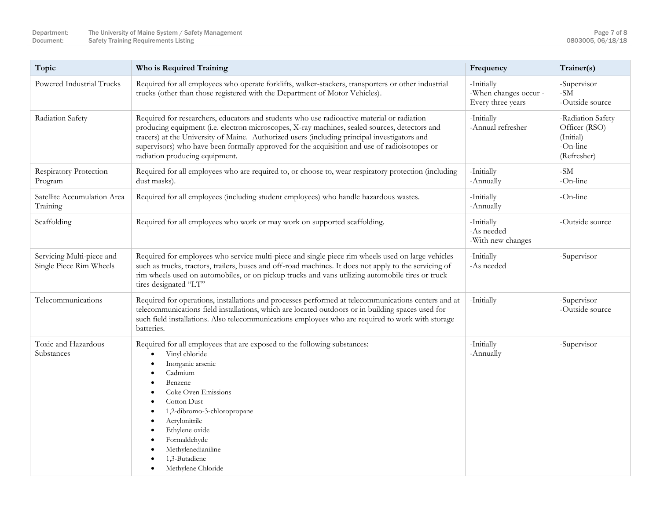| Topic                                                | Who is Required Training                                                                                                                                                                                                                                                                                                                                                                                                      | Frequency                                                | Trainer(s)                                                                 |
|------------------------------------------------------|-------------------------------------------------------------------------------------------------------------------------------------------------------------------------------------------------------------------------------------------------------------------------------------------------------------------------------------------------------------------------------------------------------------------------------|----------------------------------------------------------|----------------------------------------------------------------------------|
| Powered Industrial Trucks                            | Required for all employees who operate forklifts, walker-stackers, transporters or other industrial<br>trucks (other than those registered with the Department of Motor Vehicles).                                                                                                                                                                                                                                            | -Initially<br>-When changes occur -<br>Every three years | -Supervisor<br>$\mbox{-}\mathrm{SM}$<br>-Outside source                    |
| Radiation Safety                                     | Required for researchers, educators and students who use radioactive material or radiation<br>producing equipment (i.e. electron microscopes, X-ray machines, sealed sources, detectors and<br>tracers) at the University of Maine. Authorized users (including principal investigators and<br>supervisors) who have been formally approved for the acquisition and use of radioisotopes or<br>radiation producing equipment. | -Initially<br>-Annual refresher                          | -Radiation Safety<br>Officer (RSO)<br>(Initial)<br>-On-line<br>(Refresher) |
| Respiratory Protection<br>Program                    | Required for all employees who are required to, or choose to, wear respiratory protection (including<br>dust masks).                                                                                                                                                                                                                                                                                                          | -Initially<br>-Annually                                  | $-SM$<br>-On-line                                                          |
| Satellite Accumulation Area<br>Training              | Required for all employees (including student employees) who handle hazardous wastes.                                                                                                                                                                                                                                                                                                                                         | -Initially<br>-Annually                                  | $-On$ -line                                                                |
| Scaffolding                                          | Required for all employees who work or may work on supported scaffolding.                                                                                                                                                                                                                                                                                                                                                     | -Initially<br>-As needed<br>-With new changes            | -Outside source                                                            |
| Servicing Multi-piece and<br>Single Piece Rim Wheels | Required for employees who service multi-piece and single piece rim wheels used on large vehicles<br>such as trucks, tractors, trailers, buses and off-road machines. It does not apply to the servicing of<br>rim wheels used on automobiles, or on pickup trucks and vans utilizing automobile tires or truck<br>tires designated "LT"                                                                                      | -Initially<br>-As needed                                 | -Supervisor                                                                |
| Telecommunications                                   | Required for operations, installations and processes performed at telecommunications centers and at<br>telecommunications field installations, which are located outdoors or in building spaces used for<br>such field installations. Also telecommunications employees who are required to work with storage<br>batteries.                                                                                                   | -Initially                                               | -Supervisor<br>-Outside source                                             |
| Toxic and Hazardous<br>Substances                    | Required for all employees that are exposed to the following substances:<br>Vinyl chloride<br>Inorganic arsenic<br>$\bullet$<br>Cadmium<br>Benzene<br>Coke Oven Emissions<br><b>Cotton Dust</b><br>1,2-dibromo-3-chloropropane<br>Acrylonitrile<br>٠<br>Ethylene oxide<br>Formaldehyde<br>Methylenedianiline<br>1,3-Butadiene<br>Methylene Chloride<br>$\bullet$                                                              | -Initially<br>-Annually                                  | -Supervisor                                                                |